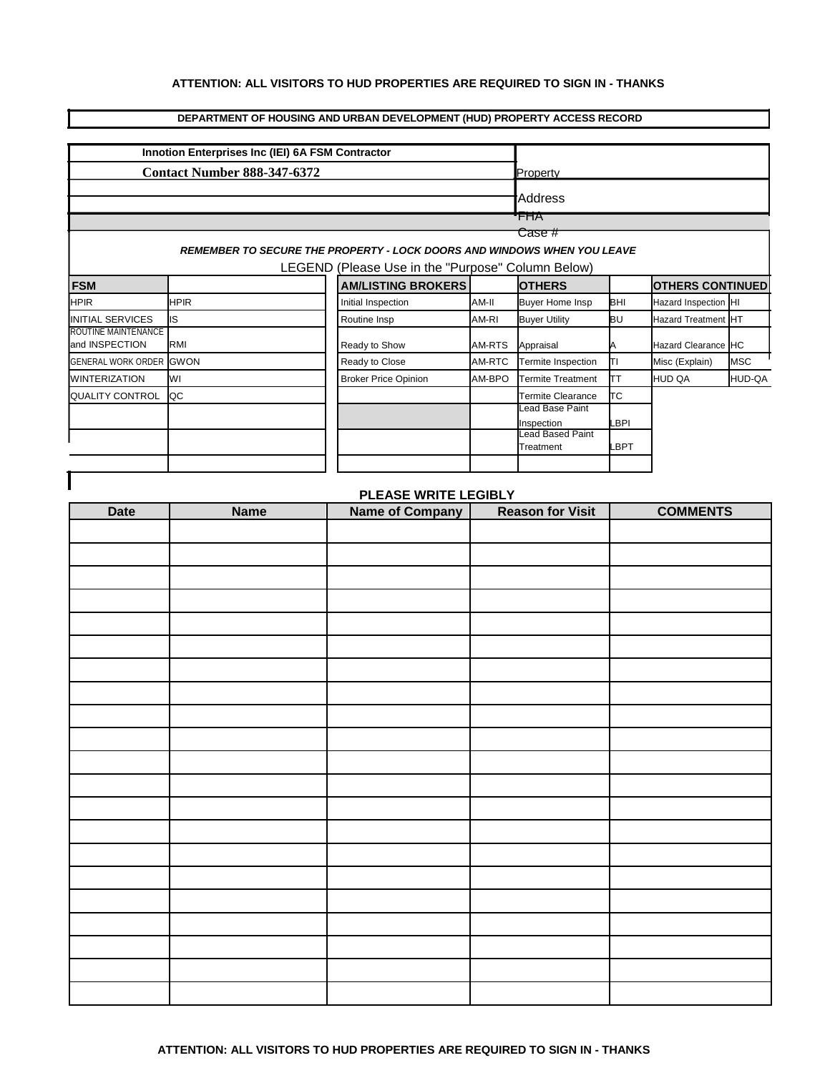## **ATTENTION: ALL VISITORS TO HUD PROPERTIES ARE REQUIRED TO SIGN IN - THANKS**

## **DEPARTMENT OF HOUSING AND URBAN DEVELOPMENT (HUD) PROPERTY ACCESS RECORD**

|                                    | Innotion Enterprises Inc (IEI) 6A FSM Contractor                        |                                                   |        |                                      |            |                         |            |
|------------------------------------|-------------------------------------------------------------------------|---------------------------------------------------|--------|--------------------------------------|------------|-------------------------|------------|
| <b>Contact Number 888-347-6372</b> | Property                                                                |                                                   |        |                                      |            |                         |            |
|                                    |                                                                         |                                                   |        |                                      |            |                         |            |
|                                    | Address                                                                 |                                                   |        |                                      |            |                         |            |
|                                    |                                                                         |                                                   |        | <b>FHA</b>                           |            |                         |            |
|                                    | REMEMBER TO SECURE THE PROPERTY - LOCK DOORS AND WINDOWS WHEN YOU LEAVE |                                                   |        | Case #                               |            |                         |            |
|                                    |                                                                         | LEGEND (Please Use in the "Purpose" Column Below) |        |                                      |            |                         |            |
| <b>FSM</b>                         |                                                                         | <b>AM/LISTING BROKERS</b>                         |        | <b>OTHERS</b>                        |            | <b>OTHERS CONTINUED</b> |            |
| <b>HPIR</b>                        | <b>HPIR</b>                                                             | Initial Inspection                                | AM-II  | <b>Buyer Home Insp</b>               | BHI        | Hazard Inspection HI    |            |
| INITIAL SERVICES                   | <b>IS</b>                                                               | Routine Insp                                      | AM-RI  | <b>Buyer Utility</b>                 | ΒU         | Hazard Treatment HT     |            |
| ROUTINE MAINTENANCE                |                                                                         |                                                   |        |                                      |            |                         |            |
| and INSPECTION                     | RMI                                                                     | Ready to Show                                     | AM-RTS | Appraisal                            | Α          | Hazard Clearance HC     |            |
| GENERAL WORK ORDER GWON            |                                                                         | Ready to Close                                    | AM-RTC | Termite Inspection                   | TΙ         | Misc (Explain)          | <b>MSC</b> |
| <b>WINTERIZATION</b>               | WI                                                                      | <b>Broker Price Opinion</b>                       | AM-BPO | <b>Termite Treatment</b>             | TТ         | HUD QA                  | HUD-QA     |
| <b>QUALITY CONTROL</b>             | QC                                                                      |                                                   |        | Termite Clearance<br>Lead Base Paint | ТC         |                         |            |
|                                    |                                                                         |                                                   |        | Inspection                           | <b>BPI</b> |                         |            |
|                                    |                                                                         |                                                   |        | Lead Based Paint                     |            |                         |            |
|                                    |                                                                         |                                                   |        | Treatment                            | _BPT       |                         |            |
|                                    |                                                                         |                                                   |        |                                      |            |                         |            |
|                                    |                                                                         | PLEASE WRITE LEGIBLY                              |        |                                      |            |                         |            |
| <b>Date</b>                        | <b>Name</b>                                                             | <b>Name of Company</b>                            |        | <b>Reason for Visit</b>              |            | <b>COMMENTS</b>         |            |
|                                    |                                                                         |                                                   |        |                                      |            |                         |            |
|                                    |                                                                         |                                                   |        |                                      |            |                         |            |
|                                    |                                                                         |                                                   |        |                                      |            |                         |            |
|                                    |                                                                         |                                                   |        |                                      |            |                         |            |
|                                    |                                                                         |                                                   |        |                                      |            |                         |            |
|                                    |                                                                         |                                                   |        |                                      |            |                         |            |
|                                    |                                                                         |                                                   |        |                                      |            |                         |            |
|                                    |                                                                         |                                                   |        |                                      |            |                         |            |
|                                    |                                                                         |                                                   |        |                                      |            |                         |            |
|                                    |                                                                         |                                                   |        |                                      |            |                         |            |
|                                    |                                                                         |                                                   |        |                                      |            |                         |            |
|                                    |                                                                         |                                                   |        |                                      |            |                         |            |
|                                    |                                                                         |                                                   |        |                                      |            |                         |            |
|                                    |                                                                         |                                                   |        |                                      |            |                         |            |
|                                    |                                                                         |                                                   |        |                                      |            |                         |            |
|                                    |                                                                         |                                                   |        |                                      |            |                         |            |
|                                    |                                                                         |                                                   |        |                                      |            |                         |            |
|                                    |                                                                         |                                                   |        |                                      |            |                         |            |
|                                    |                                                                         |                                                   |        |                                      |            |                         |            |
|                                    |                                                                         |                                                   |        |                                      |            |                         |            |
|                                    |                                                                         |                                                   |        |                                      |            |                         |            |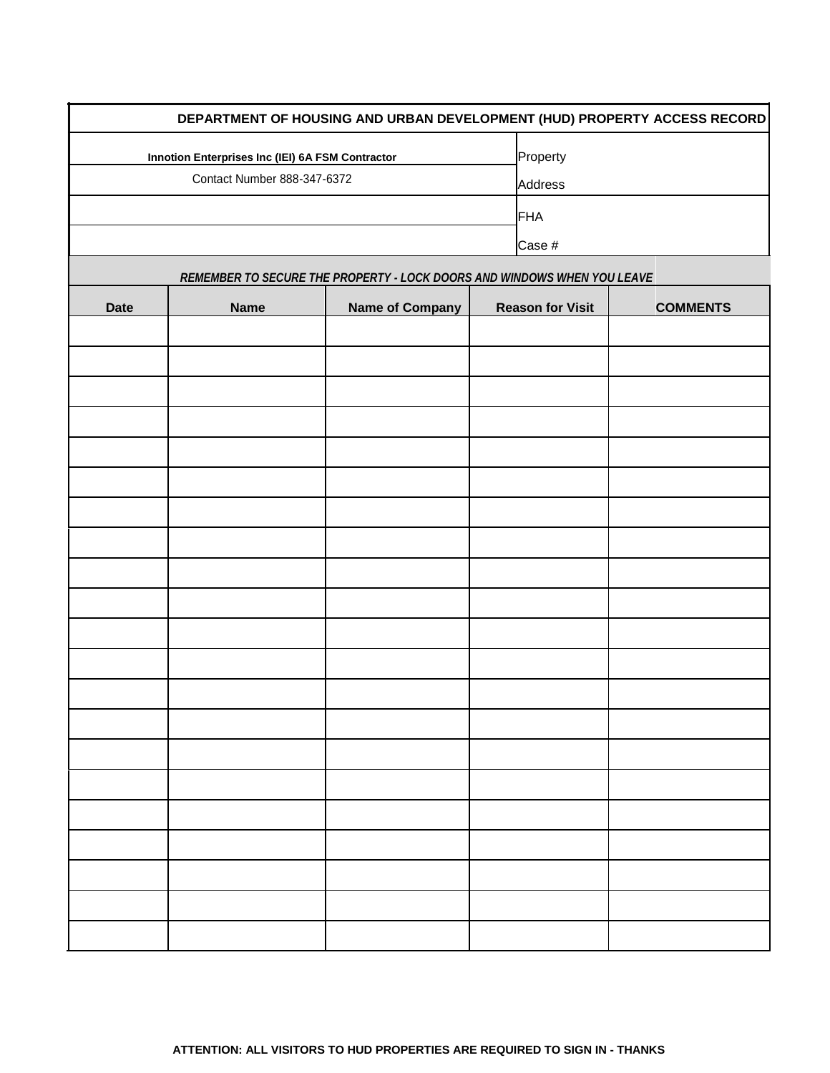|             |                                                         |                                                                         |                         | DEPARTMENT OF HOUSING AND URBAN DEVELOPMENT (HUD) PROPERTY ACCESS RECORD |  |  |
|-------------|---------------------------------------------------------|-------------------------------------------------------------------------|-------------------------|--------------------------------------------------------------------------|--|--|
|             | <b>Innotion Enterprises Inc (IEI) 6A FSM Contractor</b> | Property                                                                |                         |                                                                          |  |  |
|             | Contact Number 888-347-6372                             |                                                                         |                         | Address                                                                  |  |  |
|             |                                                         |                                                                         | FHA                     |                                                                          |  |  |
|             |                                                         |                                                                         | Case #                  |                                                                          |  |  |
|             |                                                         | REMEMBER TO SECURE THE PROPERTY - LOCK DOORS AND WINDOWS WHEN YOU LEAVE |                         |                                                                          |  |  |
| <b>Date</b> | <b>Name</b>                                             | <b>Name of Company</b>                                                  | <b>Reason for Visit</b> | <b>COMMENTS</b>                                                          |  |  |
|             |                                                         |                                                                         |                         |                                                                          |  |  |
|             |                                                         |                                                                         |                         |                                                                          |  |  |
|             |                                                         |                                                                         |                         |                                                                          |  |  |
|             |                                                         |                                                                         |                         |                                                                          |  |  |
|             |                                                         |                                                                         |                         |                                                                          |  |  |
|             |                                                         |                                                                         |                         |                                                                          |  |  |
|             |                                                         |                                                                         |                         |                                                                          |  |  |
|             |                                                         |                                                                         |                         |                                                                          |  |  |
|             |                                                         |                                                                         |                         |                                                                          |  |  |
|             |                                                         |                                                                         |                         |                                                                          |  |  |
|             |                                                         |                                                                         |                         |                                                                          |  |  |
|             |                                                         |                                                                         |                         |                                                                          |  |  |
|             |                                                         |                                                                         |                         |                                                                          |  |  |
|             |                                                         |                                                                         |                         |                                                                          |  |  |
|             |                                                         |                                                                         |                         |                                                                          |  |  |
|             |                                                         |                                                                         |                         |                                                                          |  |  |
|             |                                                         |                                                                         |                         |                                                                          |  |  |
|             |                                                         |                                                                         |                         |                                                                          |  |  |
|             |                                                         |                                                                         |                         |                                                                          |  |  |
|             |                                                         |                                                                         |                         |                                                                          |  |  |
|             |                                                         |                                                                         |                         |                                                                          |  |  |